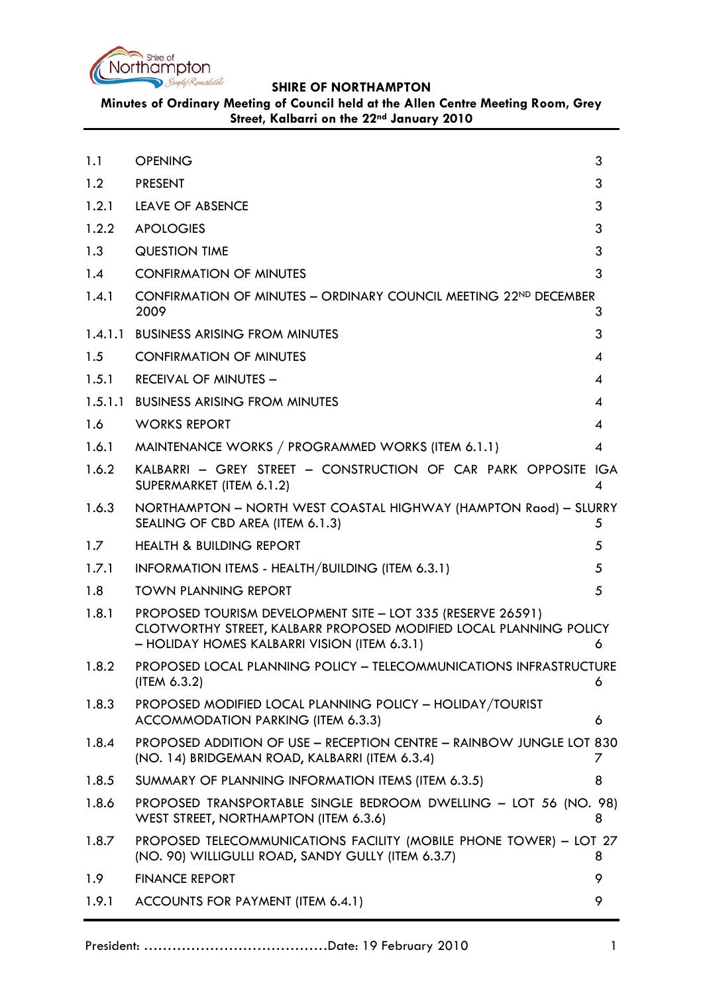

**Minutes of Ordinary Meeting of Council held at the Allen Centre Meeting Room, Grey Street, Kalbarri on the 22nd January 2010**

<span id="page-0-0"></span>

| 1.1   | <b>OPENING</b>                                                                                                                                                                    | 3              |
|-------|-----------------------------------------------------------------------------------------------------------------------------------------------------------------------------------|----------------|
| 1.2   | <b>PRESENT</b>                                                                                                                                                                    | 3              |
| 1.2.1 | <b>LEAVE OF ABSENCE</b>                                                                                                                                                           | 3              |
| 1.2.2 | <b>APOLOGIES</b>                                                                                                                                                                  | 3              |
| 1.3   | <b>QUESTION TIME</b>                                                                                                                                                              | 3              |
| 1.4   | <b>CONFIRMATION OF MINUTES</b>                                                                                                                                                    | 3              |
| 1.4.1 | CONFIRMATION OF MINUTES - ORDINARY COUNCIL MEETING 22ND DECEMBER<br>2009                                                                                                          | 3              |
|       | 1.4.1.1 BUSINESS ARISING FROM MINUTES                                                                                                                                             | 3              |
| 1.5   | <b>CONFIRMATION OF MINUTES</b>                                                                                                                                                    | 4              |
| 1.5.1 | <b>RECEIVAL OF MINUTES -</b>                                                                                                                                                      | 4              |
|       | 1.5.1.1 BUSINESS ARISING FROM MINUTES                                                                                                                                             | 4              |
| 1.6   | <b>WORKS REPORT</b>                                                                                                                                                               | 4              |
| 1.6.1 | MAINTENANCE WORKS / PROGRAMMED WORKS (ITEM 6.1.1)                                                                                                                                 | $\overline{4}$ |
| 1.6.2 | KALBARRI - GREY STREET - CONSTRUCTION OF CAR PARK OPPOSITE IGA<br>SUPERMARKET (ITEM 6.1.2)                                                                                        | 4              |
| 1.6.3 | NORTHAMPTON - NORTH WEST COASTAL HIGHWAY (HAMPTON Raod) - SLURRY<br>SEALING OF CBD AREA (ITEM 6.1.3)                                                                              | 5              |
| 1.7   | <b>HEALTH &amp; BUILDING REPORT</b>                                                                                                                                               | 5              |
| 1.7.1 | INFORMATION ITEMS - HEALTH/BUILDING (ITEM 6.3.1)                                                                                                                                  | 5              |
| 1.8   | <b>TOWN PLANNING REPORT</b>                                                                                                                                                       | 5              |
| 1.8.1 | PROPOSED TOURISM DEVELOPMENT SITE - LOT 335 (RESERVE 26591)<br>CLOTWORTHY STREET, KALBARR PROPOSED MODIFIED LOCAL PLANNING POLICY<br>- HOLIDAY HOMES KALBARRI VISION (ITEM 6.3.1) | 6              |
| 1.8.2 | PROPOSED LOCAL PLANNING POLICY - TELECOMMUNICATIONS INFRASTRUCTURE<br>(IFEM 6.3.2)                                                                                                | 6              |
| 1.8.3 | PROPOSED MODIFIED LOCAL PLANNING POLICY - HOLIDAY/TOURIST<br>ACCOMMODATION PARKING (ITEM 6.3.3)                                                                                   | 6              |
| 1.8.4 | <b>PROPOSED ADDITION OF USE - RECEPTION CENTRE - RAINBOW JUNGLE LOT 830</b><br>(NO. 14) BRIDGEMAN ROAD, KALBARRI (ITEM 6.3.4)                                                     | 7              |
| 1.8.5 | SUMMARY OF PLANNING INFORMATION ITEMS (ITEM 6.3.5)                                                                                                                                | 8              |
| 1.8.6 | PROPOSED TRANSPORTABLE SINGLE BEDROOM DWELLING - LOT 56 (NO. 98)<br>WEST STREET, NORTHAMPTON (ITEM 6.3.6)                                                                         | 8              |
| 1.8.7 | PROPOSED TELECOMMUNICATIONS FACILITY (MOBILE PHONE TOWER) - LOT 27<br>(NO. 90) WILLIGULLI ROAD, SANDY GULLY (ITEM 6.3.7)                                                          | 8              |
| 1.9   | <b>FINANCE REPORT</b>                                                                                                                                                             | 9              |
| 1.9.1 | ACCOUNTS FOR PAYMENT (ITEM 6.4.1)                                                                                                                                                 | 9              |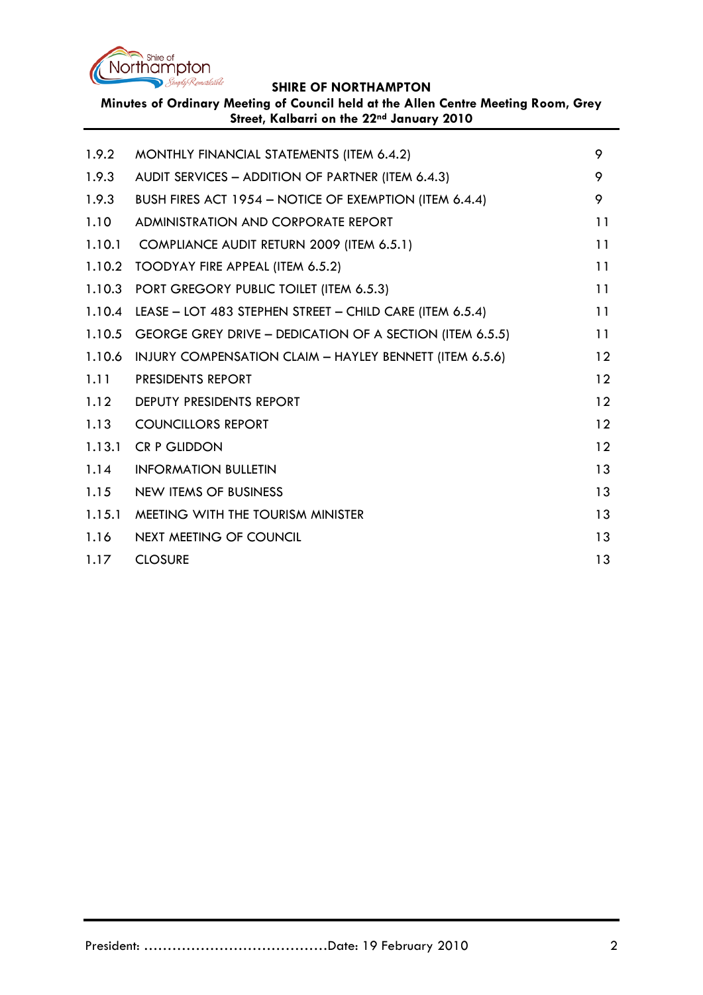

**Minutes of Ordinary Meeting of Council held at the Allen Centre Meeting Room, Grey Street, Kalbarri on the 22nd January 2010**

| 1.9.2  | MONTHLY FINANCIAL STATEMENTS (ITEM 6.4.2)                | 9  |
|--------|----------------------------------------------------------|----|
| 1.9.3  | AUDIT SERVICES - ADDITION OF PARTNER (ITEM 6.4.3)        | 9  |
| 1.9.3  | BUSH FIRES ACT 1954 - NOTICE OF EXEMPTION (ITEM 6.4.4)   | 9  |
| 1.10   | ADMINISTRATION AND CORPORATE REPORT                      | 11 |
| 1.10.1 | COMPLIANCE AUDIT RETURN 2009 (ITEM 6.5.1)                | 11 |
| 1.10.2 | TOODYAY FIRE APPEAL (ITEM 6.5.2)                         | 11 |
| 1.10.3 | PORT GREGORY PUBLIC TOILET (ITEM 6.5.3)                  | 11 |
| 1.10.4 | LEASE - LOT 483 STEPHEN STREET - CHILD CARE (ITEM 6.5.4) | 11 |
| 1.10.5 | GEORGE GREY DRIVE - DEDICATION OF A SECTION (ITEM 6.5.5) | 11 |
| 1.10.6 | INJURY COMPENSATION CLAIM - HAYLEY BENNETT (ITEM 6.5.6)  | 12 |
| 1.11   | <b>PRESIDENTS REPORT</b>                                 | 12 |
| 1.12   | DEPUTY PRESIDENTS REPORT                                 | 12 |
| 1.13   | <b>COUNCILLORS REPORT</b>                                | 12 |
| 1.13.1 | <b>CR P GLIDDON</b>                                      | 12 |
| 1.14   | <b>INFORMATION BULLETIN</b>                              | 13 |
| 1.15   | <b>NEW ITEMS OF BUSINESS</b>                             | 13 |
| 1.15.1 | MEETING WITH THE TOURISM MINISTER                        | 13 |
| 1.16   | NEXT MEETING OF COUNCIL                                  | 13 |
| 1.17   | <b>CLOSURE</b>                                           | 13 |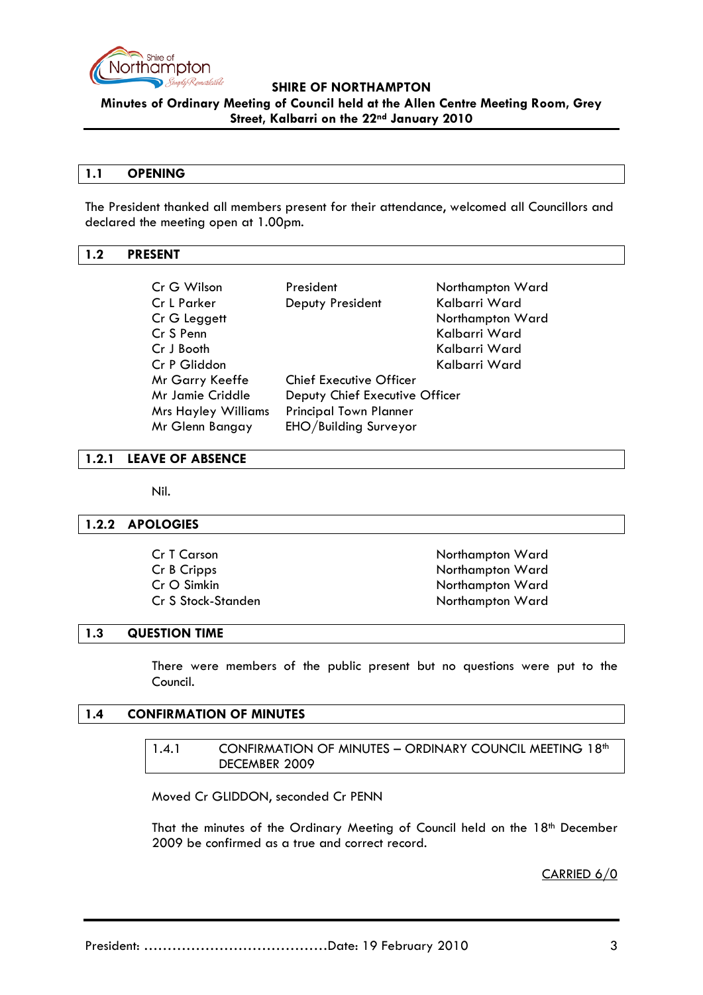

**Minutes of Ordinary Meeting of Council held at the Allen Centre Meeting Room, Grey Street, Kalbarri on the 22nd January 2010**

#### **1.1 OPENING**

The President thanked all members present for their attendance, welcomed all Councillors and declared the meeting open at 1.00pm.

## <span id="page-2-0"></span>**1.2 PRESENT**

| Cr G Wilson                | President                      | Northampton Ward |
|----------------------------|--------------------------------|------------------|
| Cr L Parker                | Deputy President               | Kalbarri Ward    |
| Cr G Leggett               |                                | Northampton Ward |
| Cr S Penn                  |                                | Kalbarri Ward    |
| Cr J Booth                 |                                | Kalbarri Ward    |
| Cr P Gliddon               |                                | Kalbarri Ward    |
| Mr Garry Keeffe            | <b>Chief Executive Officer</b> |                  |
| Mr Jamie Criddle           | Deputy Chief Executive Officer |                  |
| <b>Mrs Hayley Williams</b> | <b>Principal Town Planner</b>  |                  |
| Mr Glenn Bangay            | EHO/Building Surveyor          |                  |

## <span id="page-2-1"></span>**1.2.1 LEAVE OF ABSENCE**

Nil.

#### <span id="page-2-2"></span>**1.2.2 APOLOGIES**

| Cr T Carson        | Northampton Ward |
|--------------------|------------------|
| Cr B Cripps        | Northampton Ward |
| Cr O Simkin        | Northampton Ward |
| Cr S Stock-Standen | Northampton Ward |

#### <span id="page-2-3"></span>**1.3 QUESTION TIME**

There were members of the public present but no questions were put to the Council.

#### <span id="page-2-5"></span><span id="page-2-4"></span>**1.4 CONFIRMATION OF MINUTES**

| 1.4.1 | <b>CONFIRMATION OF MINUTES - ORDINARY COUNCIL MEETING 18th</b> |
|-------|----------------------------------------------------------------|
|       | DECEMBER 2009                                                  |

Moved Cr GLIDDON, seconded Cr PENN

That the minutes of the Ordinary Meeting of Council held on the 18<sup>th</sup> December 2009 be confirmed as a true and correct record.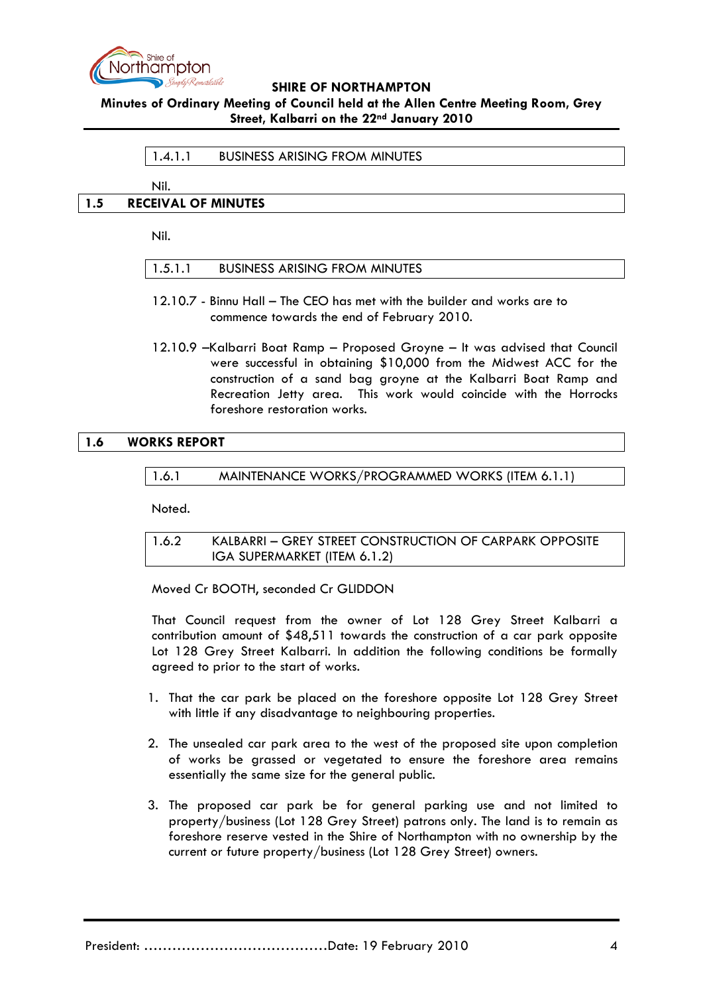

**Minutes of Ordinary Meeting of Council held at the Allen Centre Meeting Room, Grey Street, Kalbarri on the 22nd January 2010**

#### 1.4.1.1 BUSINESS ARISING FROM MINUTES

Nil.

#### <span id="page-3-1"></span><span id="page-3-0"></span>**1.5 RECEIVAL OF MINUTES**

Nil.

|  | 1.5.1.1 | <b>BUSINESS ARISING FROM MINUTES</b> |
|--|---------|--------------------------------------|
|--|---------|--------------------------------------|

- 12.10.7 Binnu Hall The CEO has met with the builder and works are to commence towards the end of February 2010.
- 12.10.9 –Kalbarri Boat Ramp Proposed Groyne It was advised that Council were successful in obtaining \$10,000 from the Midwest ACC for the construction of a sand bag groyne at the Kalbarri Boat Ramp and Recreation Jetty area. This work would coincide with the Horrocks foreshore restoration works.

## **1.6 WORKS REPORT**

1.6.1 MAINTENANCE WORKS/PROGRAMMED WORKS (ITEM 6.1.1)

Noted.

1.6.2 KALBARRI – GREY STREET CONSTRUCTION OF CARPARK OPPOSITE IGA SUPERMARKET (ITEM 6.1.2)

Moved Cr BOOTH, seconded Cr GLIDDON

That Council request from the owner of Lot 128 Grey Street Kalbarri a contribution amount of \$48,511 towards the construction of a car park opposite Lot 128 Grey Street Kalbarri. In addition the following conditions be formally agreed to prior to the start of works.

- 1. That the car park be placed on the foreshore opposite Lot 128 Grey Street with little if any disadvantage to neighbouring properties.
- 2. The unsealed car park area to the west of the proposed site upon completion of works be grassed or vegetated to ensure the foreshore area remains essentially the same size for the general public.
- 3. The proposed car park be for general parking use and not limited to property/business (Lot 128 Grey Street) patrons only. The land is to remain as foreshore reserve vested in the Shire of Northampton with no ownership by the current or future property/business (Lot 128 Grey Street) owners.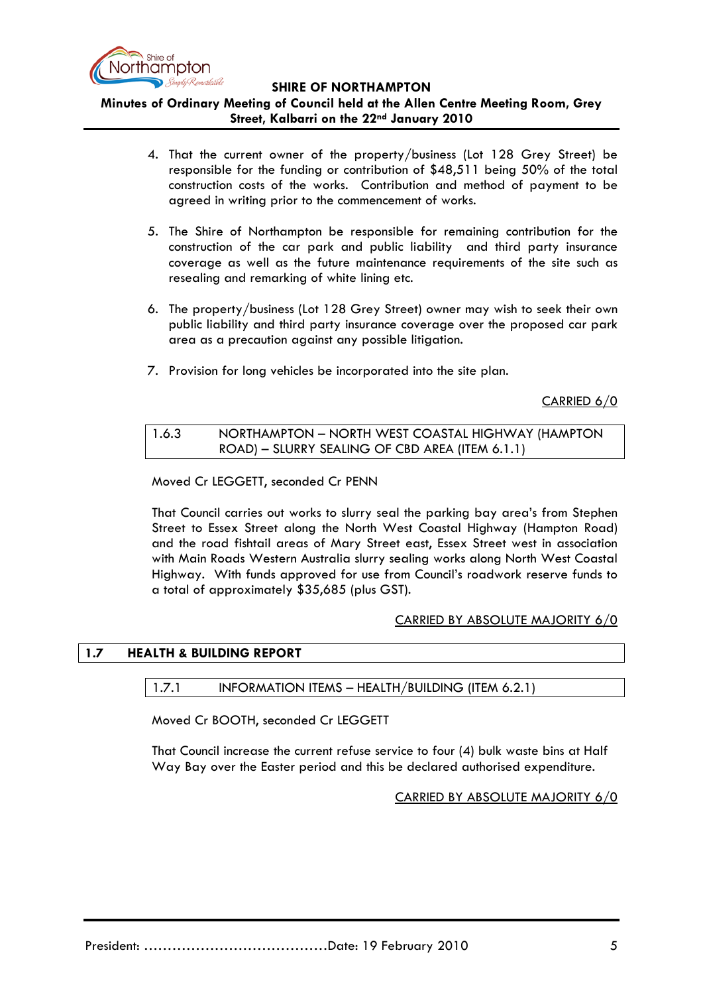

# **Minutes of Ordinary Meeting of Council held at the Allen Centre Meeting Room, Grey Street, Kalbarri on the 22nd January 2010**

- 4. That the current owner of the property/business (Lot 128 Grey Street) be responsible for the funding or contribution of \$48,511 being 50% of the total construction costs of the works. Contribution and method of payment to be agreed in writing prior to the commencement of works.
- 5. The Shire of Northampton be responsible for remaining contribution for the construction of the car park and public liability and third party insurance coverage as well as the future maintenance requirements of the site such as resealing and remarking of white lining etc.
- 6. The property/business (Lot 128 Grey Street) owner may wish to seek their own public liability and third party insurance coverage over the proposed car park area as a precaution against any possible litigation.
- 7. Provision for long vehicles be incorporated into the site plan.

CARRIED 6/0

| 1.6.3 | NORTHAMPTON - NORTH WEST COASTAL HIGHWAY (HAMPTON |
|-------|---------------------------------------------------|
|       | ROAD) – SLURRY SEALING OF CBD AREA (ITEM 6.1.1)   |

Moved Cr LEGGETT, seconded Cr PENN

That Council carries out works to slurry seal the parking bay area's from Stephen Street to Essex Street along the North West Coastal Highway (Hampton Road) and the road fishtail areas of Mary Street east, Essex Street west in association with Main Roads Western Australia slurry sealing works along North West Coastal Highway. With funds approved for use from Council's roadwork reserve funds to a total of approximately \$35,685 (plus GST).

#### CARRIED BY ABSOLUTE MAJORITY 6/0

#### **1.7 HEALTH & BUILDING REPORT**

#### 1.7.1 INFORMATION ITEMS – HEALTH/BUILDING (ITEM 6.2.1)

Moved Cr BOOTH, seconded Cr LEGGETT

<span id="page-4-0"></span>That Council increase the current refuse service to four (4) bulk waste bins at Half Way Bay over the Easter period and this be declared authorised expenditure.

CARRIED BY ABSOLUTE MAJORITY 6/0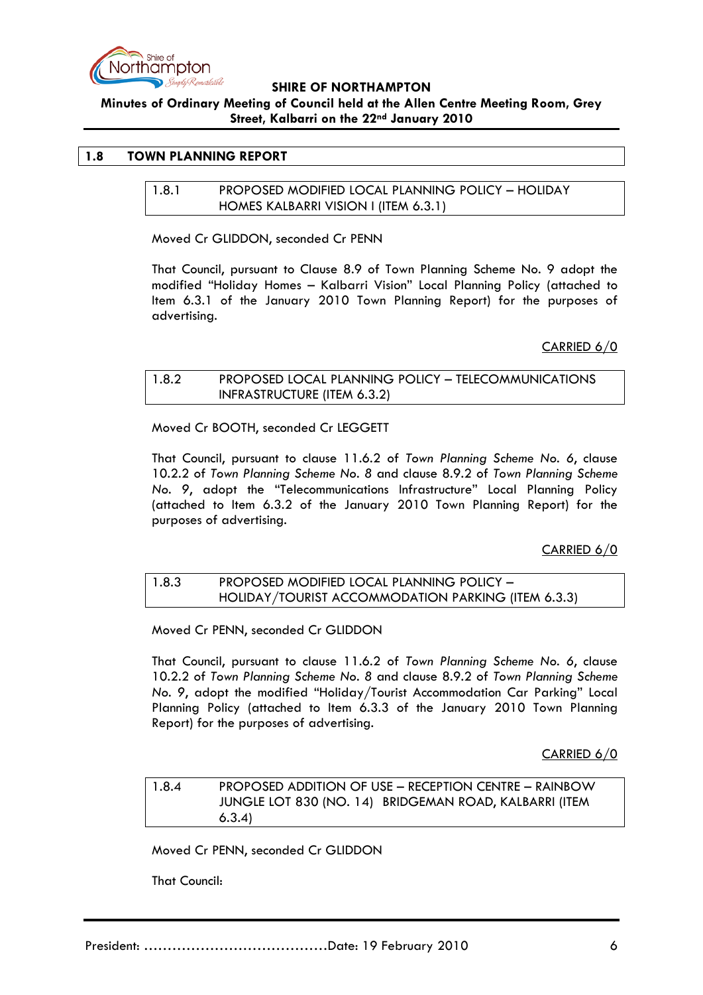

**Minutes of Ordinary Meeting of Council held at the Allen Centre Meeting Room, Grey Street, Kalbarri on the 22nd January 2010**

## **1.8 TOWN PLANNING REPORT**

1.8.1 PROPOSED MODIFIED LOCAL PLANNING POLICY – HOLIDAY HOMES KALBARRI VISION I (ITEM 6.3.1)

Moved Cr GLIDDON, seconded Cr PENN

That Council, pursuant to Clause 8.9 of Town Planning Scheme No. 9 adopt the modified "Holiday Homes – Kalbarri Vision" Local Planning Policy (attached to Item 6.3.1 of the January 2010 Town Planning Report) for the purposes of advertising.

CARRIED 6/0

## 1.8.2 PROPOSED LOCAL PLANNING POLICY – TELECOMMUNICATIONS INFRASTRUCTURE (ITEM 6.3.2)

Moved Cr BOOTH, seconded Cr LEGGETT

That Council, pursuant to clause 11.6.2 of *Town Planning Scheme No. 6*, clause 10.2.2 of *Town Planning Scheme No. 8* and clause 8.9.2 of *Town Planning Scheme No. 9*, adopt the "Telecommunications Infrastructure" Local Planning Policy (attached to Item 6.3.2 of the January 2010 Town Planning Report) for the purposes of advertising.

CARRIED 6/0

## 1.8.3 PROPOSED MODIFIED LOCAL PLANNING POLICY – HOLIDAY/TOURIST ACCOMMODATION PARKING (ITEM 6.3.3)

Moved Cr PENN, seconded Cr GLIDDON

That Council, pursuant to clause 11.6.2 of *Town Planning Scheme No. 6*, clause 10.2.2 of *Town Planning Scheme No. 8* and clause 8.9.2 of *Town Planning Scheme No. 9*, adopt the modified "Holiday/Tourist Accommodation Car Parking" Local Planning Policy (attached to Item 6.3.3 of the January 2010 Town Planning Report) for the purposes of advertising.

CARRIED 6/0

1.8.4 PROPOSED ADDITION OF USE – RECEPTION CENTRE – RAINBOW JUNGLE LOT 830 (NO. 14) BRIDGEMAN ROAD, KALBARRI (ITEM 6.3.4)

Moved Cr PENN, seconded Cr GLIDDON

That Council: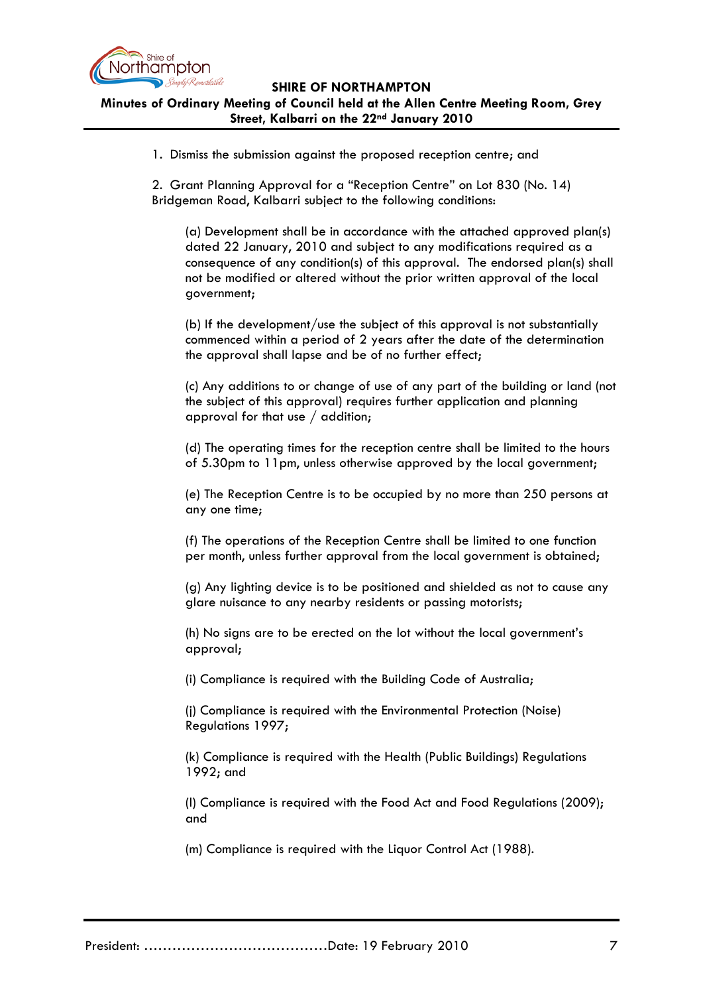

## **SHIRE OF NORTHAMPTON Minutes of Ordinary Meeting of Council held at the Allen Centre Meeting Room, Grey Street, Kalbarri on the 22nd January 2010**

1. Dismiss the submission against the proposed reception centre; and

2. Grant Planning Approval for a "Reception Centre" on Lot 830 (No. 14) Bridgeman Road, Kalbarri subject to the following conditions:

(a) Development shall be in accordance with the attached approved plan(s) dated 22 January, 2010 and subject to any modifications required as a consequence of any condition(s) of this approval. The endorsed plan(s) shall not be modified or altered without the prior written approval of the local government;

(b) If the development/use the subject of this approval is not substantially commenced within a period of 2 years after the date of the determination the approval shall lapse and be of no further effect;

(c) Any additions to or change of use of any part of the building or land (not the subject of this approval) requires further application and planning approval for that use / addition;

(d) The operating times for the reception centre shall be limited to the hours of 5.30pm to 11pm, unless otherwise approved by the local government;

(e) The Reception Centre is to be occupied by no more than 250 persons at any one time;

(f) The operations of the Reception Centre shall be limited to one function per month, unless further approval from the local government is obtained;

(g) Any lighting device is to be positioned and shielded as not to cause any glare nuisance to any nearby residents or passing motorists;

(h) No signs are to be erected on the lot without the local government's approval;

(i) Compliance is required with the Building Code of Australia;

(j) Compliance is required with the Environmental Protection (Noise) Regulations 1997;

(k) Compliance is required with the Health (Public Buildings) Regulations 1992; and

(l) Compliance is required with the Food Act and Food Regulations (2009); and

(m) Compliance is required with the Liquor Control Act (1988).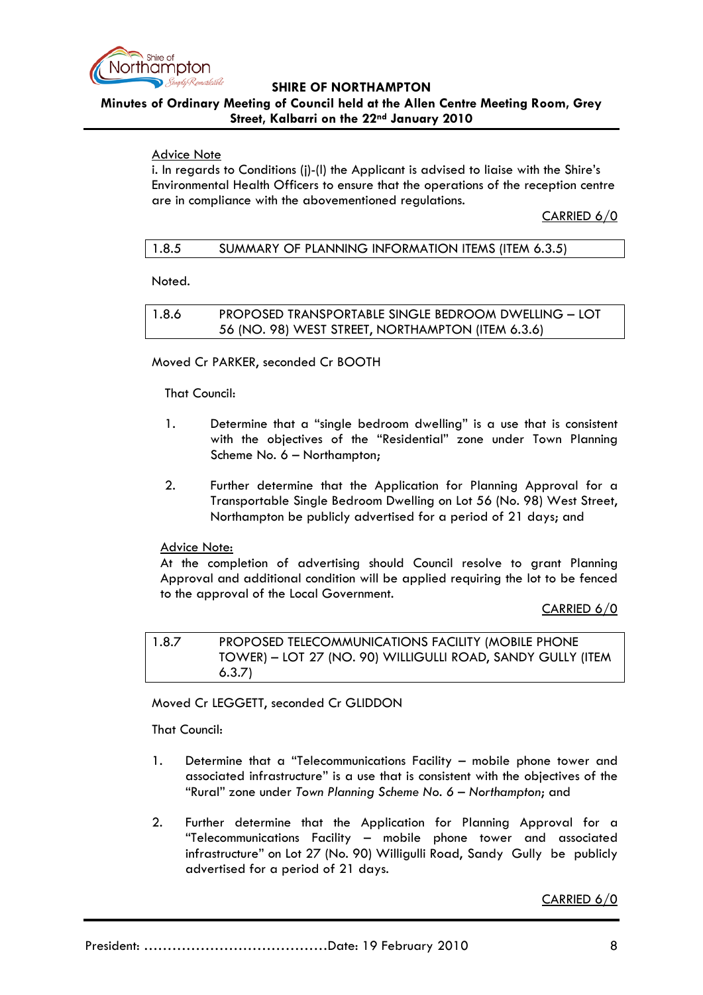

# **Minutes of Ordinary Meeting of Council held at the Allen Centre Meeting Room, Grey Street, Kalbarri on the 22nd January 2010**

# Advice Note

i. In regards to Conditions (j)-(l) the Applicant is advised to liaise with the Shire's Environmental Health Officers to ensure that the operations of the reception centre are in compliance with the abovementioned regulations.

CARRIED 6/0

| 1.8.5 | SUMMARY OF PLANNING INFORMATION ITEMS (ITEM 6.3.5) |
|-------|----------------------------------------------------|
|-------|----------------------------------------------------|

Noted.

1.8.6 PROPOSED TRANSPORTABLE SINGLE BEDROOM DWELLING – LOT 56 (NO. 98) WEST STREET, NORTHAMPTON (ITEM 6.3.6)

# Moved Cr PARKER, seconded Cr BOOTH

## That Council:

- 1. Determine that a "single bedroom dwelling" is a use that is consistent with the objectives of the "Residential" zone under Town Planning Scheme No. 6 – Northampton;
- 2. Further determine that the Application for Planning Approval for a Transportable Single Bedroom Dwelling on Lot 56 (No. 98) West Street, Northampton be publicly advertised for a period of 21 days; and

# Advice Note:

At the completion of advertising should Council resolve to grant Planning Approval and additional condition will be applied requiring the lot to be fenced to the approval of the Local Government.

CARRIED 6/0

1.8.7 PROPOSED TELECOMMUNICATIONS FACILITY (MOBILE PHONE TOWER) – LOT 27 (NO. 90) WILLIGULLI ROAD, SANDY GULLY (ITEM 6.3.7)

Moved Cr LEGGETT, seconded Cr GLIDDON

That Council:

- 1. Determine that a "Telecommunications Facility mobile phone tower and associated infrastructure" is a use that is consistent with the objectives of the "Rural" zone under *Town Planning Scheme No. 6 – Northampton*; and
- 2. Further determine that the Application for Planning Approval for a "Telecommunications Facility – mobile phone tower and associated infrastructure" on Lot 27 (No. 90) Willigulli Road, Sandy Gully be publicly advertised for a period of 21 days.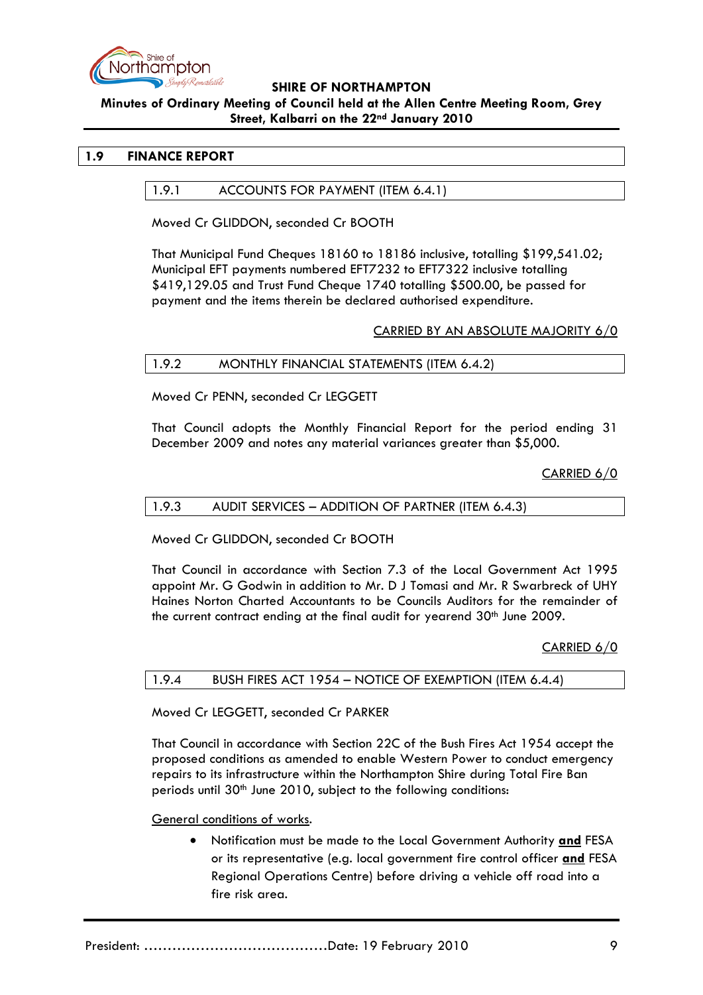

## **Minutes of Ordinary Meeting of Council held at the Allen Centre Meeting Room, Grey Street, Kalbarri on the 22nd January 2010**

# **1.9 FINANCE REPORT**

## 1.9.1 ACCOUNTS FOR PAYMENT (ITEM 6.4.1)

Moved Cr GLIDDON, seconded Cr BOOTH

That Municipal Fund Cheques 18160 to 18186 inclusive, totalling \$199,541.02; Municipal EFT payments numbered EFT7232 to EFT7322 inclusive totalling \$419,129.05 and Trust Fund Cheque 1740 totalling \$500.00, be passed for payment and the items therein be declared authorised expenditure.

## CARRIED BY AN ABSOLUTE MAJORITY 6/0

## 1.9.2 MONTHLY FINANCIAL STATEMENTS (ITEM 6.4.2)

Moved Cr PENN, seconded Cr LEGGETT

That Council adopts the Monthly Financial Report for the period ending 31 December 2009 and notes any material variances greater than \$5,000.

CARRIED 6/0

#### 1.9.3 AUDIT SERVICES – ADDITION OF PARTNER (ITEM 6.4.3)

Moved Cr GLIDDON, seconded Cr BOOTH

That Council in accordance with Section 7.3 of the Local Government Act 1995 appoint Mr. G Godwin in addition to Mr. D J Tomasi and Mr. R Swarbreck of UHY Haines Norton Charted Accountants to be Councils Auditors for the remainder of the current contract ending at the final audit for yearend 30<sup>th</sup> June 2009.

CARRIED 6/0

| 1.9.4 | BUSH FIRES ACT 1954 – NOTICE OF EXEMPTION (ITEM 6.4.4) |
|-------|--------------------------------------------------------|
|-------|--------------------------------------------------------|

Moved Cr LEGGETT, seconded Cr PARKER

That Council in accordance with Section 22C of the Bush Fires Act 1954 accept the proposed conditions as amended to enable Western Power to conduct emergency repairs to its infrastructure within the Northampton Shire during Total Fire Ban periods until  $30<sup>th</sup>$  June 2010, subject to the following conditions:

General conditions of works.

• Notification must be made to the Local Government Authority **and** FESA or its representative (e.g. local government fire control officer **and** FESA Regional Operations Centre) before driving a vehicle off road into a fire risk area.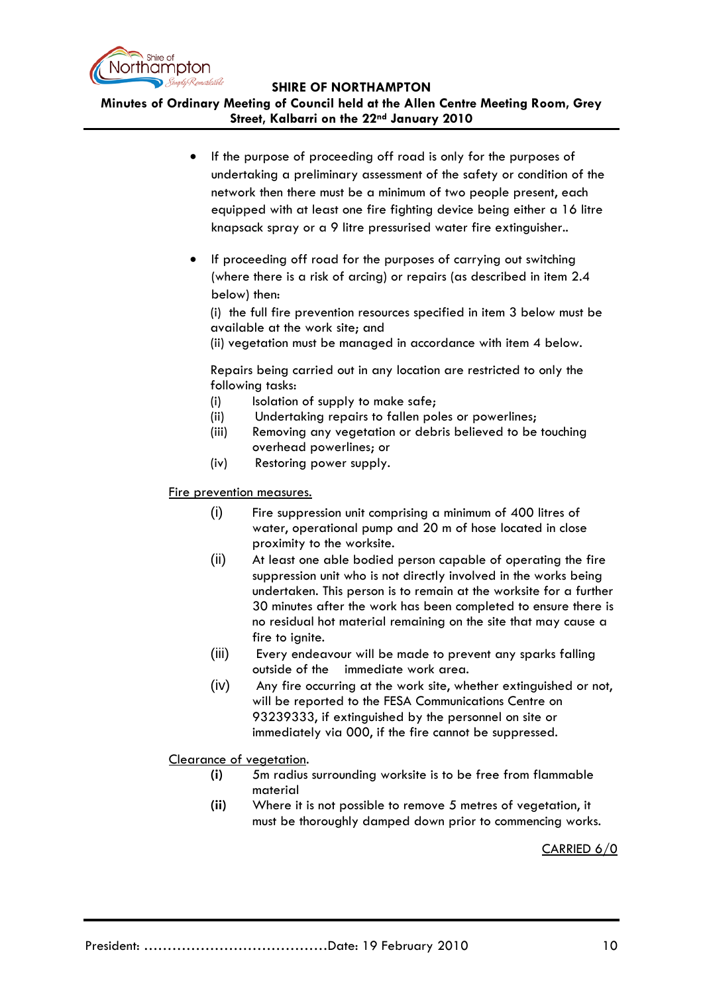

**Minutes of Ordinary Meeting of Council held at the Allen Centre Meeting Room, Grey Street, Kalbarri on the 22nd January 2010**

- If the purpose of proceeding off road is only for the purposes of undertaking a preliminary assessment of the safety or condition of the network then there must be a minimum of two people present, each equipped with at least one fire fighting device being either a 16 litre knapsack spray or a 9 litre pressurised water fire extinguisher..
- If proceeding off road for the purposes of carrying out switching (where there is a risk of arcing) or repairs (as described in item 2.4 below) then:

(i) the full fire prevention resources specified in item 3 below must be available at the work site; and

(ii) vegetation must be managed in accordance with item 4 below.

Repairs being carried out in any location are restricted to only the following tasks:

- (i) Isolation of supply to make safe:
- (ii) Undertaking repairs to fallen poles or powerlines;
- (iii) Removing any vegetation or debris believed to be touching overhead powerlines; or
- (iv) Restoring power supply.

## Fire prevention measures.

- (i) Fire suppression unit comprising a minimum of 400 litres of water, operational pump and 20 m of hose located in close proximity to the worksite.
- (ii) At least one able bodied person capable of operating the fire suppression unit who is not directly involved in the works being undertaken. This person is to remain at the worksite for a further 30 minutes after the work has been completed to ensure there is no residual hot material remaining on the site that may cause a fire to ignite.
- (iii) Every endeavour will be made to prevent any sparks falling outside of the immediate work area.
- (iv) Any fire occurring at the work site, whether extinguished or not, will be reported to the FESA Communications Centre on 93239333, if extinguished by the personnel on site or immediately via 000, if the fire cannot be suppressed.

Clearance of vegetation .

- **(i)** 5m radius surrounding worksite is to be free from flammable material
- **(ii)** Where it is not possible to remove 5 metres of vegetation, it must be thoroughly damped down prior to commencing works.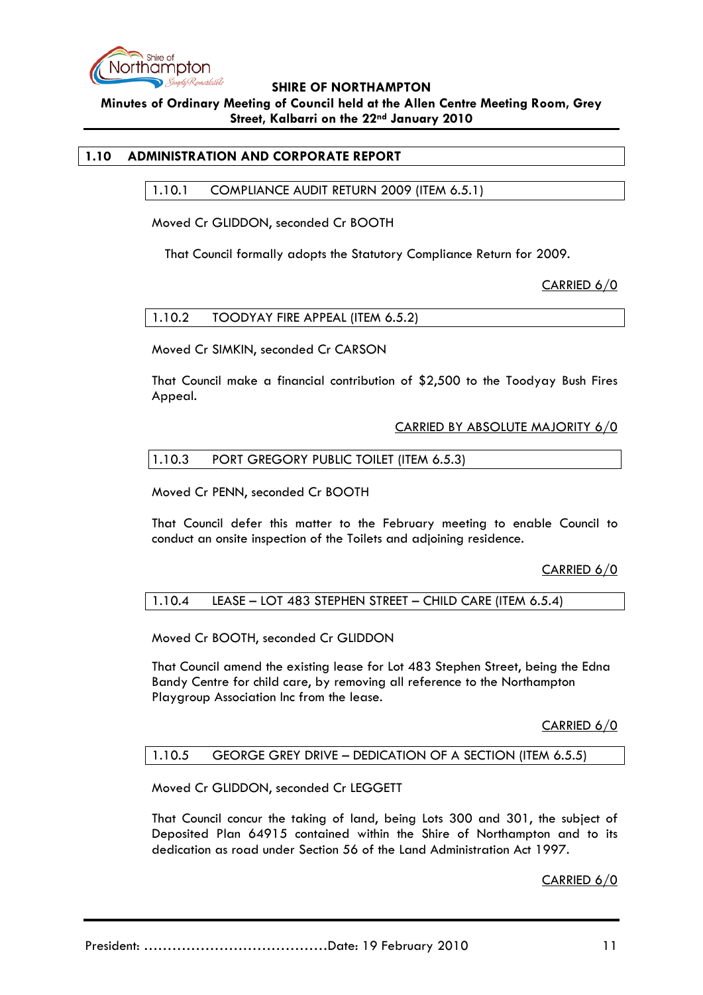

**Minutes of Ordinary Meeting of Council held at the Allen Centre Meeting Room, Grey Street, Kalbarri on the 22nd January 2010**

## **1.10 ADMINISTRATION AND CORPORATE REPORT**

1.10.1 COMPLIANCE AUDIT RETURN 2009 (ITEM 6.5.1)

Moved Cr GLIDDON, seconded Cr BOOTH

That Council formally adopts the Statutory Compliance Return for 2009.

CARRIED 6/0

Moved Cr SIMKIN, seconded Cr CARSON

That Council make a financial contribution of \$2,500 to the Toodyay Bush Fires Appeal.

#### CARRIED BY ABSOLUTE MAJORITY 6/0

## 1.10.3 PORT GREGORY PUBLIC TOILET (ITEM 6.5.3)

Moved Cr PENN, seconded Cr BOOTH

That Council defer this matter to the February meeting to enable Council to conduct an onsite inspection of the Toilets and adjoining residence.

CARRIED 6/0

#### 1.10.4 LEASE – LOT 483 STEPHEN STREET – CHILD CARE (ITEM 6.5.4)

Moved Cr BOOTH, seconded Cr GLIDDON

That Council amend the existing lease for Lot 483 Stephen Street, being the Edna Bandy Centre for child care, by removing all reference to the Northampton Playgroup Association Inc from the lease.

CARRIED 6/0

#### 1.10.5 GEORGE GREY DRIVE – DEDICATION OF A SECTION (ITEM 6.5.5)

Moved Cr GLIDDON, seconded Cr LEGGETT

That Council concur the taking of land, being Lots 300 and 301, the subject of Deposited Plan 64915 contained within the Shire of Northampton and to its dedication as road under Section 56 of the Land Administration Act 1997.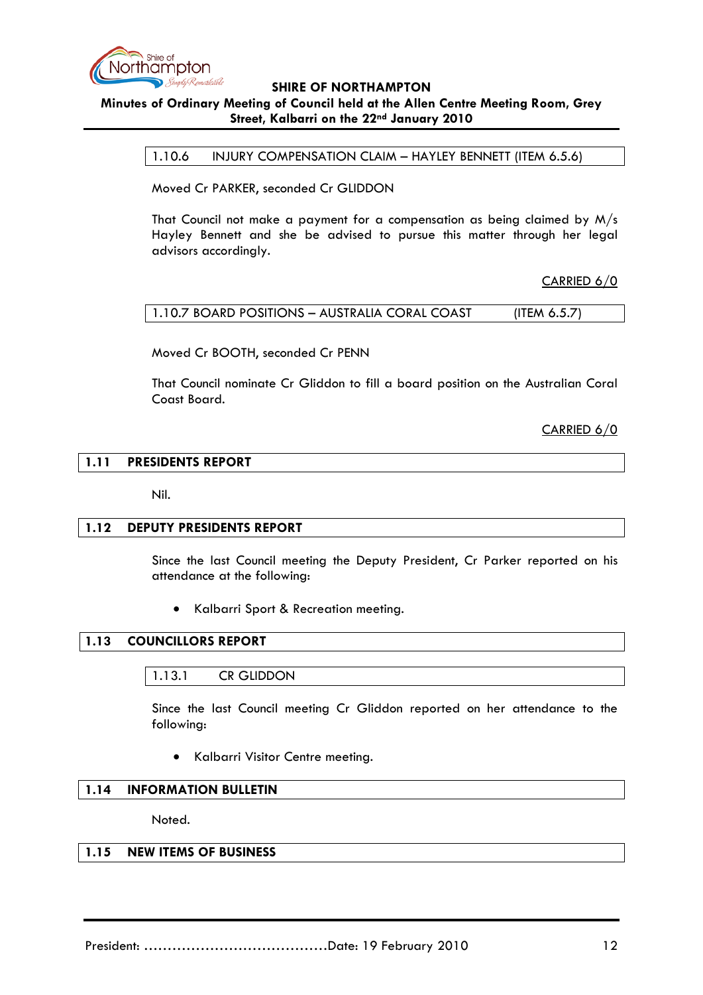

# **Minutes of Ordinary Meeting of Council held at the Allen Centre Meeting Room, Grey Street, Kalbarri on the 22nd January 2010**

1.10.6 INJURY COMPENSATION CLAIM – HAYLEY BENNETT (ITEM 6.5.6)

Moved Cr PARKER, seconded Cr GLIDDON

That Council not make a payment for a compensation as being claimed by M/s Hayley Bennett and she be advised to pursue this matter through her legal advisors accordingly.

CARRIED 6/0

| 1.10.7 BOARD POSITIONS - AUSTRALIA CORAL COAST | (ITEM $6.5.7$ ) |
|------------------------------------------------|-----------------|
|------------------------------------------------|-----------------|

Moved Cr BOOTH, seconded Cr PENN

That Council nominate Cr Gliddon to fill a board position on the Australian Coral Coast Board.

CARRIED 6/0

#### **1.11 PRESIDENTS REPORT**

Nil.

#### **1.12 DEPUTY PRESIDENTS REPORT**

Since the last Council meeting the Deputy President, Cr Parker reported on his attendance at the following:

• Kalbarri Sport & Recreation meeting.

## **1.13 COUNCILLORS REPORT**

#### 1.13.1 CR GLIDDON

Since the last Council meeting Cr Gliddon reported on her attendance to the following:

• Kalbarri Visitor Centre meeting.

## **1.14 INFORMATION BULLETIN**

Noted.

## **1.15 NEW ITEMS OF BUSINESS**

President: …………………………………Date: 19 February 2010 12